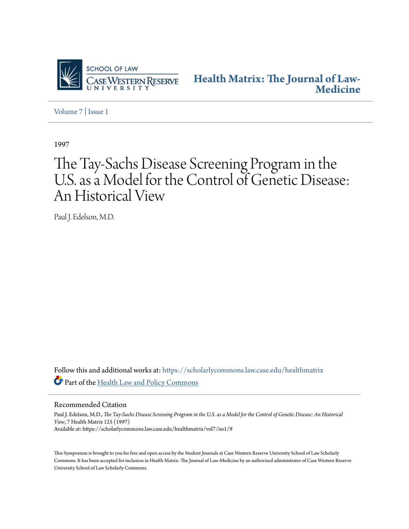

**[Health Matrix: The Journal of Law-](https://scholarlycommons.law.case.edu/healthmatrix?utm_source=scholarlycommons.law.case.edu%2Fhealthmatrix%2Fvol7%2Fiss1%2F9&utm_medium=PDF&utm_campaign=PDFCoverPages)[Medicine](https://scholarlycommons.law.case.edu/healthmatrix?utm_source=scholarlycommons.law.case.edu%2Fhealthmatrix%2Fvol7%2Fiss1%2F9&utm_medium=PDF&utm_campaign=PDFCoverPages)**

[Volume 7](https://scholarlycommons.law.case.edu/healthmatrix/vol7?utm_source=scholarlycommons.law.case.edu%2Fhealthmatrix%2Fvol7%2Fiss1%2F9&utm_medium=PDF&utm_campaign=PDFCoverPages) | [Issue 1](https://scholarlycommons.law.case.edu/healthmatrix/vol7/iss1?utm_source=scholarlycommons.law.case.edu%2Fhealthmatrix%2Fvol7%2Fiss1%2F9&utm_medium=PDF&utm_campaign=PDFCoverPages)

1997

## The Tay-Sachs Disease Screening Program in the U.S. as a Model for the Control of Genetic Disease: An Historical View

Paul J. Edelson, M.D.

Follow this and additional works at: [https://scholarlycommons.law.case.edu/healthmatrix](https://scholarlycommons.law.case.edu/healthmatrix?utm_source=scholarlycommons.law.case.edu%2Fhealthmatrix%2Fvol7%2Fiss1%2F9&utm_medium=PDF&utm_campaign=PDFCoverPages) Part of the [Health Law and Policy Commons](http://network.bepress.com/hgg/discipline/901?utm_source=scholarlycommons.law.case.edu%2Fhealthmatrix%2Fvol7%2Fiss1%2F9&utm_medium=PDF&utm_campaign=PDFCoverPages)

Recommended Citation

Paul J. Edelson, M.D., *The Tay-Sachs Disease Screening Program in the U.S. as a Model for the Control of Genetic Disease: An Historical View*, 7 Health Matrix 125 (1997) Available at: https://scholarlycommons.law.case.edu/healthmatrix/vol7/iss1/9

This Symposium is brought to you for free and open access by the Student Journals at Case Western Reserve University School of Law Scholarly Commons. It has been accepted for inclusion in Health Matrix: The Journal of Law-Medicine by an authorized administrator of Case Western Reserve University School of Law Scholarly Commons.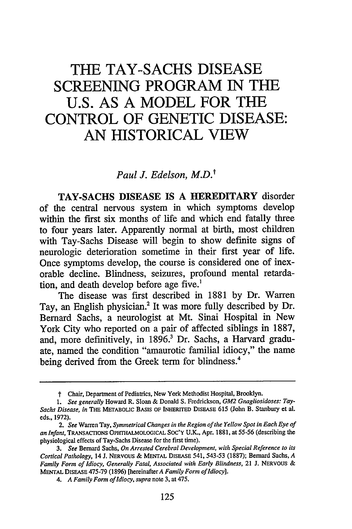## **THE TAY-SACHS DISEASE SCREENING PROGRAM IN THE U.S. AS A MODEL FOR THE CONTROL OF GENETIC DISEASE: AN HISTORICAL VIEW**

*Paul J. Edelson, M.D.t*

**TAY-SACHS DISEASE IS A HEREDITARY** disorder of the central nervous system in which symptoms develop within the first six months of life and which end fatally three to four years later. Apparently normal at birth, most children with Tay-Sachs Disease will begin to show definite signs of neurologic deterioration sometime in their first year of life. Once symptoms develop, the course is considered one of inexorable decline. Blindness, seizures, profound mental retardation, and death develop before age five.'

The disease was first described in 1881 by Dr. Warren Tay, an English physician.2 It was more fully described by Dr. Bernard Sachs, a neurologist at Mt. Sinai Hospital in New York City who reported on a pair of affected siblings in 1887, and, more definitively, in 1896.? Dr. Sachs, a Harvard graduate, named the condition "amaurotic familial idiocy," the name being derived from the Greek term for blindness.<sup>4</sup>

t Chair, Department of Pediatrics, New York Methodist Hospital, Brooklyn.

*<sup>1.</sup> See generally* Howard R. Sloan & Donald **S.** Fredrickson, *GM2 Gnagliosidoses: Tay-Sachs Disease, in* THE METABOLIC BASIS OF INHERITED **DISEASE** 615 (John B. Stanbury et al. eds., 1972).

*<sup>2.</sup> See* Warren Tay, *Symmetrical Changes in the Region of the Yellow Spot in Each Eye of an Infant,* TRANSACTIONS **OPHTHALMOLOGICAL** SOC'Y U.K., Apr. 1881, at 55-56 (describing the physiological effects of Tay-Sachs Disease for the first time).

*<sup>3.</sup> See* Bernard Sachs, *On Arrested Cerebral Development, with Special Reference to its Cortical Pathology,* 14 J. **NERVOUS** & MENTAL **DISEASE** 541, 543-53 (1887); Bernard Sachs, *A Family Form of Idiocy, Generally Fatal, Associated with Early Blindness,* 21 J. NERVOUS & MENTAL DISEASE 475-79 (1896) [hereinafter *A Family Form ofIdiocy].*

*<sup>4.</sup> A Family Form of Idiocy, supra* note 3, at 475.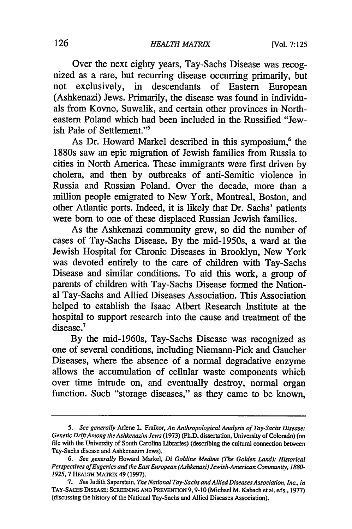Over the next eighty years, Tay-Sachs Disease was recognized as a rare, but recurring disease occurring primarily, but not exclusively, in descendants of Eastern European (Ashkenazi) Jews. Primarily, the disease was found in individuals from Kovno, Suwalik, and certain other provinces in Northeastern Poland which had been included in the Russified "Jewish Pale of Settlement."<sup>5</sup>

As Dr. Howard Markel described in this symposium,<sup>6</sup> the 1880s saw an epic migration of Jewish families from Russia to cities in North America. These immigrants were first driven by cholera, and then by outbreaks of anti-Semitic violence in Russia and Russian Poland. Over the decade, more than a million people emigrated to New York, Montreal, Boston, and other Atlantic ports. Indeed, it is likely that Dr. Sachs' patients were born to one of these displaced Russian Jewish families.

As the Ashkenazi community grew, so did the number of cases of Tay-Sachs Disease. By the mid-1950s, a ward at the Jewish Hospital for Chronic Diseases in Brooklyn, New York was devoted entirely to the care of children with Tay-Sachs Disease and similar conditions. To aid this work, a group of parents of children with Tay-Sachs Disease formed the National Tay-Sachs and Allied Diseases Association. This Association helped to establish the Isaac Albert Research Institute at the hospital to support research into the cause and treatment of the disease.<sup>7</sup>

By the mid-1960s, Tay-Sachs Disease was recognized as one of several conditions, including Niemann-Pick and Gaucher Diseases, where the absence of a normal degradative enzyme allows the accumulation of cellular waste components which over time intrude on, and eventually destroy, normal organ function. Such "storage diseases," as they came to be known,

*<sup>5.</sup> See generally* Arlene L. Fraikor, *An Anthropological Analysis of Tay-Sachs Disease: Genetic Drift Among the Ashkenazim Jews* (1973) (Ph.D. dissertation, University of Colorado) (on file with the University of South Carolina Libraries) (describing the cultural connection between Tay-Sachs disease and Ashkenazim Jews).

*<sup>6.</sup> See generally* Howard Markel, *Di Goldine Medina (The Golden Land): Historical Perspectives ofEugenics and the East European (Ashkenazi) Jewish-American Community, 1880- 1925,7* **HEALTH** MATRIX 49 (1997).

*<sup>7.</sup> See* Judith Saperstein, *The National Tay-Sachs andAllied Diseases Association, Inc., in* TAY-SACHS DIsEASE: **SCREENING AND PREVENTION** 9,9-10 (Michael M. Kabach et a. eds., 1977) (discussing the history of the National Tay-Sachs and Allied Diseases Association).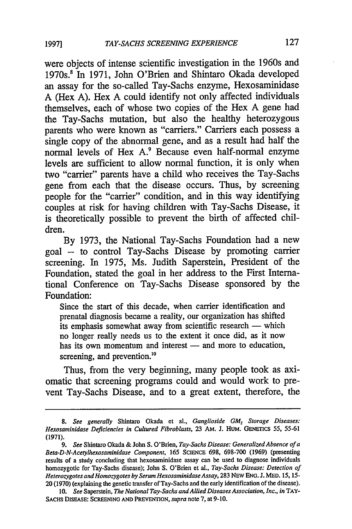were objects of intense scientific investigation in the 1960s and 1970s.8 In 1971, John O'Brien and Shintaro Okada developed an assay for the so-called Tay-Sachs enzyme, Hexosaminidase A (Hex A). Hex A could identify not only affected individuals themselves, each of whose two copies of the Hex A gene had the Tay-Sachs mutation, but also the healthy heterozygous parents who were known as "carriers." Carriers each possess a single copy of the abnormal gene, and as a result had half the normal levels of Hex A.<sup>9</sup> Because even half-normal enzyme levels are sufficient to allow normal function, it is only when two "carrier" parents have a child who receives the Tay-Sachs gene from each that the disease occurs. Thus, by screening people for the "carrier" condition, and in this way identifying couples at risk for having children with Tay-Sachs Disease, it is theoretically possible to prevent the birth of affected children.

By 1973, the National Tay-Sachs Foundation had a new goal -- to control Tay-Sachs Disease by promoting carrier screening. In 1975, Ms. Judith Saperstein, President of the Foundation, stated the goal in her address to the First International Conference on Tay-Sachs Disease sponsored by the Foundation:

Since the start of this decade, when carrier identification and prenatal diagnosis became a reality, our organization has shifted its emphasis somewhat away from scientific research  $-$  which no longer really needs us to the extent it once did, as it now has its own momentum and interest - and more to education, screening, and prevention.<sup>10</sup>

Thus, from the very beginning, many people took as axiomatic that screening programs could and would work to prevent Tay-Sachs Disease, and to a great extent, therefore, the

<sup>8.</sup> See generally Shintaro Okada et al., *Ganglioside GM<sub>2</sub> Storage Diseases: Hexosaminidase Deficiencies in Cultured Fibroblasts,* 23 AM. J. HUM. **GENETICS** 55, 55-61 **(1971).**

*<sup>9.</sup> See* Shintaro Okada & John S. *O'Brien, Tay-Sachs Disease: Generalized Absence of a Beta-D-N-Acetylhexosaminidase Component,* 165 SCIENCE 698, 698-700 (1969) (presenting results of a study concluding that hexosaminidase assay can be used to diagnose individuals homozygotic for Tay-Sachs disease); John S. O'Brien et al., *Tay-Sachs Disease: Detection of Heterozygotes and Homozygotes by Serum Hexosaminidase Assay,* 283 NEW ENG. J. MED. 15, 15- 20 (1970) (explaining the genetic transfer of Tay-Sachs and the early identification of the disease).

<sup>10.</sup> *See* Saperstein, *The National Tay-Sachs and Allied Diseases Association, Inc., in* TAY-SACHS **DISEASE: SCREENING AND** PREVENTON, *supra* note 7, at 9-10.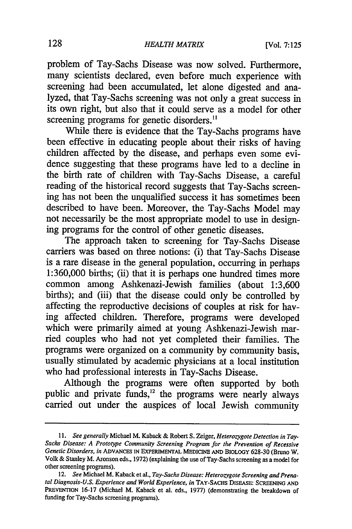problem of Tay-Sachs Disease was now solved. Furthermore, many scientists declared, even before much experience with screening had been accumulated, let alone digested and analyzed, that Tay-Sachs screening was not only a great success in its own right, but also that it could serve as a model for other screening programs for genetic disorders.<sup>11</sup>

While there is evidence that the Tay-Sachs programs have been effective in educating people about their risks of having children affected by the disease, and perhaps even some evidence suggesting that these programs have led to a decline in the birth rate of children with Tay-Sachs Disease, a careful reading of the historical record suggests that Tay-Sachs screening has not been the unqualified success it has sometimes been described to have been. Moreover, the Tay-Sachs Model may not necessarily be the most appropriate model to use in designing programs for the control of other genetic diseases.

The approach taken to screening for Tay-Sachs Disease carriers was based on three notions: (i) that Tay-Sachs Disease is a rare disease in the general population, occurring in perhaps 1:360,000 births; (ii) that it is perhaps one hundred times more common among Ashkenazi-Jewish families (about 1:3,600 births); and (iii) that the disease could only be controlled by affecting the reproductive decisions of couples at risk for having affected children. Therefore, programs were developed which were primarily aimed at young Ashkenazi-Jewish married couples who had not yet completed their families. The programs were organized on a community by community basis, usually stimulated by academic physicians at a local institution who had professional interests in Tay-Sachs Disease.

Although the programs were often supported by both public and private funds, $^{12}$  the programs were nearly always carried out under the auspices of local Jewish community

*<sup>11.</sup> See generally* Michael M. Kaback & Robert S. Zeiger, *Heterozygote Detection in Tay-Sachs Disease: A Prototype Community Screening Program for the Prevention of Recessive Genetic Disorders, in* **ADVANCES IN EXPERIMENTAL MEDICINE AND** BIOLOGY 628-30 (Bruno W. Volk **&** Stanley M. Aronson eds., 1972) (explaining the use of Tay-Sachs screening as a model for other screening programs).

<sup>12.</sup> *See* Michael M. Kaback et al., *Tay-Sachs Disease: Heterozygote Screening and Prenatal Diagnosis-U.S. Experience and World Experience, in* TAY-SACHs **DISEASE: SCREENING AND** PREVENTION 16-17 (Michael M. Kaback et al. eds., 1977) (demonstrating the breakdown of funding for Tay-Sachs screening programs).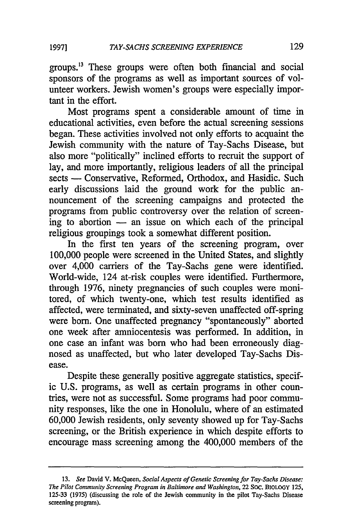129

groups.'3 These groups were often both financial and social sponsors of the programs as well as important sources of volunteer workers. Jewish women's groups were especially important in the effort.

Most programs spent a considerable amount of time in educational activities, even before the actual screening sessions began. These activities involved not only efforts to acquaint the Jewish community with the nature of Tay-Sachs Disease, but also more "politically" inclined efforts to recruit the support of lay, and more importantly, religious leaders of all the principal sects - Conservative, Reformed, Orthodox, and Hasidic. Such early discussions laid the ground work for the public announcement of the screening campaigns and protected the programs from public controversy over the relation of screening to abortion  $-$  an issue on which each of the principal religious groupings took a somewhat different position.

In the first ten years of the screening program, over 100,000 people were screened in the United States, and slightly over 4,000 carriers of the Tay-Sachs gene were identified. World-wide, 124 at-risk couples were identified. Furthermore, through 1976, ninety pregnancies of such couples were monitored, of which twenty-one, which test results identified as affected, were terminated, and sixty-seven unaffected off-spring were born. One unaffected pregnancy "spontaneously" aborted one week after amniocentesis was performed. In addition, in one case an infant was born who had been erroneously diagnosed as unaffected, but who later developed Tay-Sachs Disease.

Despite these generally positive aggregate statistics, specific U.S. programs, as well as certain programs in other countries, were not as successful. Some programs had poor community responses, like the one in Honolulu, where of an estimated 60,000 Jewish residents, only seventy showed up for Tay-Sachs screening, or the British experience in which despite efforts to encourage mass screening among the 400,000 members of the

<sup>13.</sup> *See* David V. McQueen, *Social Aspects of Genetic Screening for Tay-Sachs Disease: The Pilot Community Screening Program in Baltimore and Washington,* 22 **SOC.** BIOLOGY 125, **125-33 (1975)** (discussing the role of the Jewish community in the pilot Tay-Sachs Disease screening program).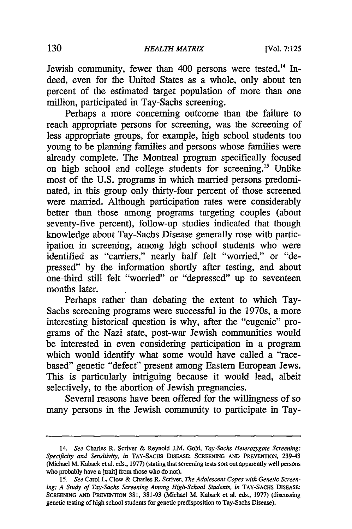Jewish community, fewer than 400 persons were tested.<sup>14</sup> Indeed, even for the United States as a whole, only about ten percent of the estimated target population of more than one million, participated in Tay-Sachs screening.

Perhaps a more concerning outcome than the failure to reach appropriate persons for screening, was the screening of less appropriate groups, for example, high school students too young to be planning families and persons whose families were already complete. The Montreal program specifically focused on high school and college students for screening."' Unlike most of the U.S. programs in which married persons predominated, in this group only thirty-four percent of those screened were married. Although participation rates were considerably better than those among programs targeting couples (about seventy-five percent), follow-up studies indicated that though knowledge about Tay-Sachs Disease generally rose with participation in screening, among high school students who were identified as "carriers," nearly half felt "worried," or "depressed" by the information shortly after testing, and about one-third still felt "worried" or "depressed" up to seventeen months later.

Perhaps rather than debating the extent to which Tay-Sachs screening programs were successful in the 1970s, a more interesting historical question is why, after the "eugenic" programs of the Nazi state, post-war Jewish communities would be interested in even considering participation in a program which would identify what some would have called a "racebased" genetic "defect" present among Eastern European Jews. This is particularly intriguing because it would lead, albeit selectively, to the abortion of Jewish pregnancies.

Several reasons have been offered for the willingness of so many persons in the Jewish community to participate in Tay-

<sup>14.</sup> *See* Charles R. Scriver & Reynold J.M. Gold, *Tay-Sachs Heterozygote Screening: Specificity and Sensitivity, in* TAY-SACHS DisEASE: **SCREENING AND** PREVENTION, 239-43 (Michael M. Kaback et al. eds., 1977) (stating that screening tests sort out apparently well persons who probably have a [trait] from those who do not).

*<sup>15.</sup> See* Carol L. Clow & Charles R. Scriver, *The Adolescent Copes with Genetic Screen*ing: A Study of Tay-Sachs Screening Among High-School Students, in TAY-SACHS DISEASE: **SCREENING AND PREVENTION** 381, 381-93 (Michael M. Kaback et al. eds., 1977) (discussing genetic testing of high school students for genetic predisposition to Tay-Sachs Disease).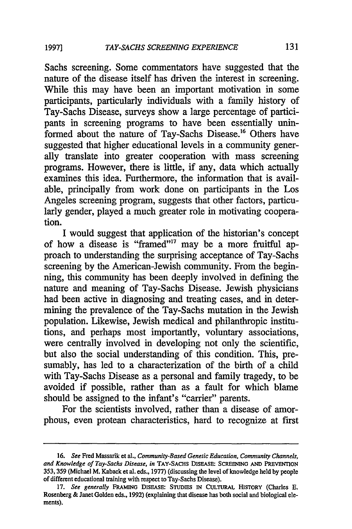**19971**

Sachs screening. Some commentators have suggested that the nature of the disease itself has driven the interest in screening. While this may have been an important motivation in some participants, particularly individuals with a family history of Tay-Sachs Disease, surveys show a large percentage of participants in screening programs to have been essentially uninformed about the nature of Tay-Sachs Disease.<sup>16</sup> Others have suggested that higher educational levels in a community generally translate into greater cooperation with mass screening programs. However, there is little, if any, data which actually examines this idea. Furthermore, the information that is available, principally from work done on participants in the Los Angeles screening program, suggests that other factors, particularly gender, played a much greater role in motivating cooperation.

I would suggest that application of the historian's concept of how a disease is "framed"<sup>17</sup> may be a more fruitful approach to understanding the surprising acceptance of Tay-Sachs screening by the American-Jewish community. From the beginning, this community has been deeply involved in defining the nature and meaning of Tay-Sachs Disease. Jewish physicians had been active in diagnosing and treating cases, and in determining the prevalence of the Tay-Sachs mutation in the Jewish population. Likewise, Jewish medical and philanthropic institutions, and perhaps most importantly, voluntary associations, were centrally involved in developing not only the scientific, but also the social understanding of this condition. This, presumably, has led to a characterization of the birth of a child with Tay-Sachs Disease as a personal and family tragedy, to be avoided if possible, rather than as a fault for which blame should be assigned to the infant's "carrier" parents.

For the scientists involved, rather than a disease of amorphous, even protean characteristics, hard to recognize at first

**<sup>16.</sup>** *See* Fred Massarik et **al.,** *Community-Based Genetic Education, Community Channels, and Knowledge of Tay-Sachs Disease, in* TAY-SACHS DIsEASE: **SCREENING AND PREVENTION** 353, 359 (Michael M. Kaback et al. eds., 1977) (discussing the level of knowledge held by people of different educational training with respect to Tay-Sachs Disease).

<sup>17.</sup> *See generally* **FRAMING** DISEASE: **STUDIES** IN CULTURAL **HISTORY** (Charles **E.** Rosenberg & Janet Golden eds., 1992) (explaining that disease has both social and biological elements).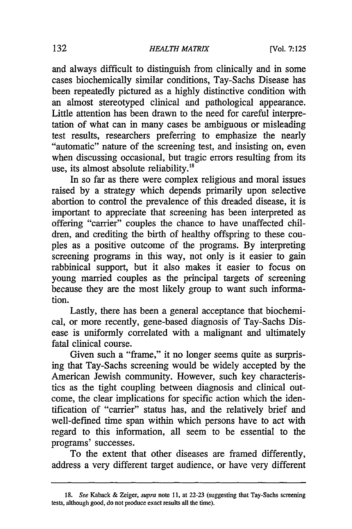and always difficult to distinguish from clinically and in some cases biochemically similar conditions, Tay-Sachs Disease has been repeatedly pictured as a highly distinctive condition with an almost stereotyped clinical and pathological appearance. Little attention has been drawn to the need for careful interpretation of what can in many cases be ambiguous or misleading<br>test results, researchers preferring to emphasize the nearly "automatic" nature of the screening test, and insisting on, even when discussing occasional, but tragic errors resulting from its use, its almost absolute reliability.<sup>18</sup>

In so far as there were complex religious and moral issues raised by a strategy which depends primarily upon selective abortion to control the prevalence of this dreaded disease, it is important to appreciate that screening has been interpreted as offering "carrier" couples the chance to have unaffected children, and crediting the birth of healthy offspring to these couples as a positive outcome of the programs. By interpreting screening programs in this way, not only is it easier to gain rabbinical support, but it also makes it easier to focus on young married couples as the principal targets of screening because they are the most likely group to want such information.

Lastly, there has been a general acceptance that biochemical, or more recently, gene-based diagnosis of Tay-Sachs Disease is uniformly correlated with a malignant and ultimately fatal clinical course.

Given such a "frame," it no longer seems quite as surprising that Tay-Sachs screening would be widely accepted by the American Jewish community. However, such key characteristics as the tight coupling between diagnosis and clinical outcome, the clear implications for specific action which the identification of "carrier" status has, and the relatively brief and well-defined time span within which persons have to act with regard to this information, all seem to be essential to the programs' successes.

To the extent that other diseases are framed differently, address a very different target audience, or have very different

*<sup>18.</sup> See* Kaback & Zeiger, *supra* note **11,** at 22-23 (suggesting that Tay-Sachs screening tests, although good, do not produce exact results all the time).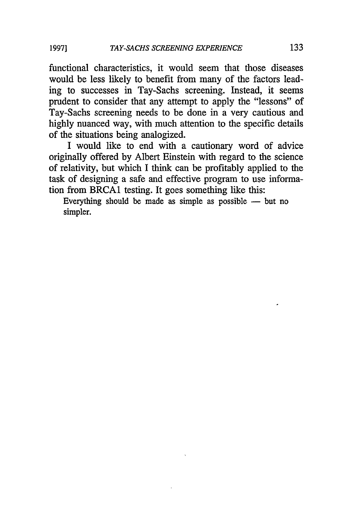functional characteristics, it would seem that those diseases would be less likely to benefit from many of the factors leading to successes in Tay-Sachs screening. Instead, it seems prudent to consider that any attempt to apply the "lessons" of Tay-Sachs screening needs to be done in a very cautious and highly nuanced way, with much attention to the specific details of the situations being analogized.

I would like to end with a cautionary word of advice originally offered by Albert Einstein with regard to the science of relativity, but which I think can be profitably applied to the task of designing a safe and effective program to use information from BRCA1 testing. It goes something like this:

Everything should be made as simple as possible  $-$  but no simpler.